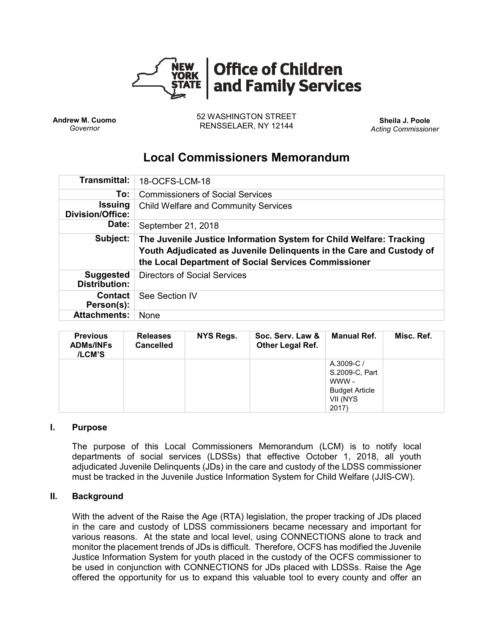

**Andrew M. Cuomo** *Governor*

52 WASHINGTON STREET RENSSELAER, NY 12144 **Sheila J. Poole**

*Acting Commissioner*

# **Local Commissioners Memorandum**

| <b>Transmittal:</b>                       | 18-OCFS-LCM-18                                                                                                                                                                                      |  |  |  |  |
|-------------------------------------------|-----------------------------------------------------------------------------------------------------------------------------------------------------------------------------------------------------|--|--|--|--|
| To:                                       | <b>Commissioners of Social Services</b>                                                                                                                                                             |  |  |  |  |
| <b>Issuing</b><br><b>Division/Office:</b> | <b>Child Welfare and Community Services</b>                                                                                                                                                         |  |  |  |  |
| Date:                                     | September 21, 2018                                                                                                                                                                                  |  |  |  |  |
| Subject:                                  | The Juvenile Justice Information System for Child Welfare: Tracking<br>Youth Adjudicated as Juvenile Delinquents in the Care and Custody of<br>the Local Department of Social Services Commissioner |  |  |  |  |
| <b>Suggested</b><br><b>Distribution:</b>  | <b>Directors of Social Services</b>                                                                                                                                                                 |  |  |  |  |
| <b>Contact</b><br>Person(s):              | See Section IV                                                                                                                                                                                      |  |  |  |  |
| <b>Attachments:</b>                       | None                                                                                                                                                                                                |  |  |  |  |

| <b>Previous</b><br><b>ADMs/INFs</b><br>/LCM'S | <b>Releases</b><br><b>Cancelled</b> | NYS Regs. | Soc. Serv. Law &<br><b>Other Legal Ref.</b> | Manual Ref.                                                                        | Misc. Ref. |
|-----------------------------------------------|-------------------------------------|-----------|---------------------------------------------|------------------------------------------------------------------------------------|------------|
|                                               |                                     |           |                                             | A.3009-C/<br>S.2009-C, Part<br>WWW -<br><b>Budget Article</b><br>VII (NYS<br>2017) |            |

#### **I. Purpose**

The purpose of this Local Commissioners Memorandum (LCM) is to notify local departments of social services (LDSSs) that effective October 1, 2018, all youth adjudicated Juvenile Delinquents (JDs) in the care and custody of the LDSS commissioner must be tracked in the Juvenile Justice Information System for Child Welfare (JJIS-CW).

#### **II. Background**

With the advent of the Raise the Age (RTA) legislation, the proper tracking of JDs placed in the care and custody of LDSS commissioners became necessary and important for various reasons. At the state and local level, using CONNECTIONS alone to track and monitor the placement trends of JDs is difficult. Therefore, OCFS has modified the Juvenile Justice Information System for youth placed in the custody of the OCFS commissioner to be used in conjunction with CONNECTIONS for JDs placed with LDSSs. Raise the Age offered the opportunity for us to expand this valuable tool to every county and offer an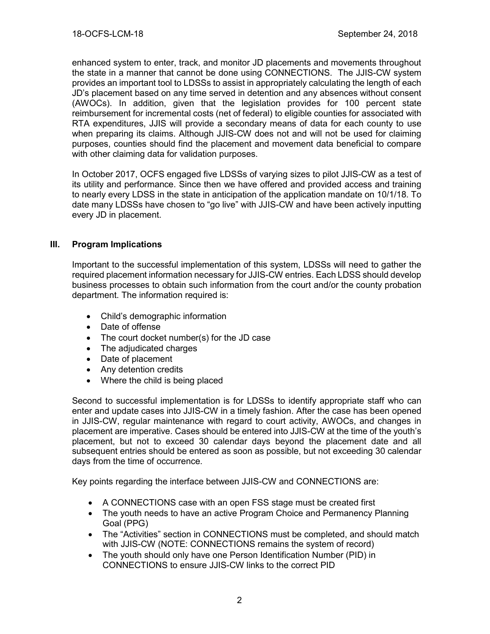enhanced system to enter, track, and monitor JD placements and movements throughout the state in a manner that cannot be done using CONNECTIONS. The JJIS-CW system provides an important tool to LDSSs to assist in appropriately calculating the length of each JD's placement based on any time served in detention and any absences without consent (AWOCs). In addition, given that the legislation provides for 100 percent state reimbursement for incremental costs (net of federal) to eligible counties for associated with RTA expenditures, JJIS will provide a secondary means of data for each county to use when preparing its claims. Although JJIS-CW does not and will not be used for claiming purposes, counties should find the placement and movement data beneficial to compare with other claiming data for validation purposes.

In October 2017, OCFS engaged five LDSSs of varying sizes to pilot JJIS-CW as a test of its utility and performance. Since then we have offered and provided access and training to nearly every LDSS in the state in anticipation of the application mandate on 10/1/18. To date many LDSSs have chosen to "go live" with JJIS-CW and have been actively inputting every JD in placement.

### **III. Program Implications**

Important to the successful implementation of this system, LDSSs will need to gather the required placement information necessary for JJIS-CW entries. Each LDSS should develop business processes to obtain such information from the court and/or the county probation department. The information required is:

- Child's demographic information
- Date of offense
- The court docket number(s) for the JD case
- The adjudicated charges
- Date of placement
- Any detention credits
- Where the child is being placed

Second to successful implementation is for LDSSs to identify appropriate staff who can enter and update cases into JJIS-CW in a timely fashion. After the case has been opened in JJIS-CW, regular maintenance with regard to court activity, AWOCs, and changes in placement are imperative. Cases should be entered into JJIS-CW at the time of the youth's placement, but not to exceed 30 calendar days beyond the placement date and all subsequent entries should be entered as soon as possible, but not exceeding 30 calendar days from the time of occurrence.

Key points regarding the interface between JJIS-CW and CONNECTIONS are:

- A CONNECTIONS case with an open FSS stage must be created first
- The youth needs to have an active Program Choice and Permanency Planning Goal (PPG)
- The "Activities" section in CONNECTIONS must be completed, and should match with JJIS-CW (NOTE: CONNECTIONS remains the system of record)
- The youth should only have one Person Identification Number (PID) in CONNECTIONS to ensure JJIS-CW links to the correct PID